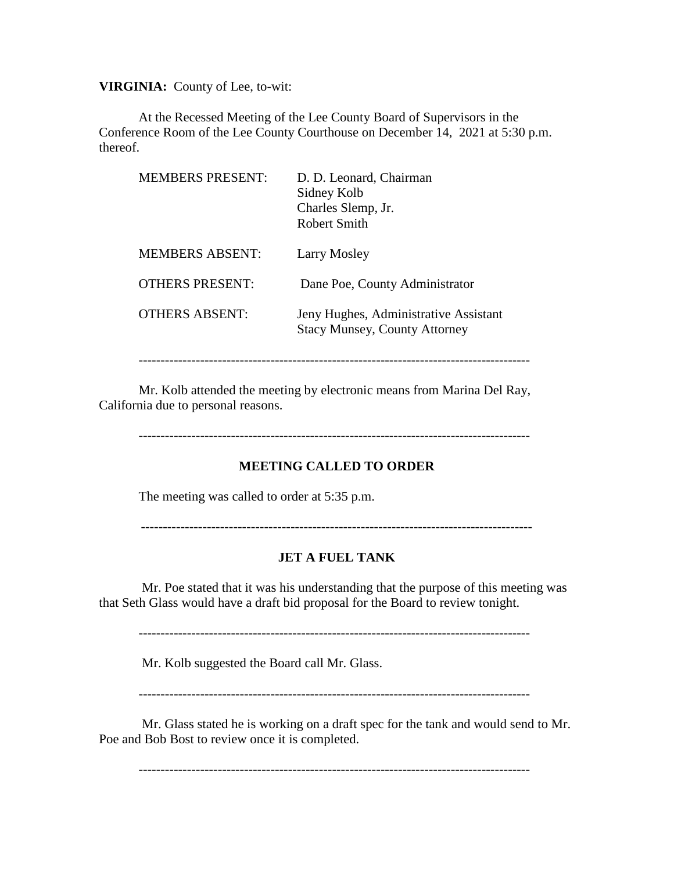**VIRGINIA:** County of Lee, to-wit:

At the Recessed Meeting of the Lee County Board of Supervisors in the Conference Room of the Lee County Courthouse on December 14, 2021 at 5:30 p.m. thereof.

| <b>MEMBERS PRESENT:</b> | D. D. Leonard, Chairman<br>Sidney Kolb<br>Charles Slemp, Jr.<br>Robert Smith  |
|-------------------------|-------------------------------------------------------------------------------|
| <b>MEMBERS ABSENT:</b>  | Larry Mosley                                                                  |
| <b>OTHERS PRESENT:</b>  | Dane Poe, County Administrator                                                |
| OTHERS ABSENT:          | Jeny Hughes, Administrative Assistant<br><b>Stacy Munsey, County Attorney</b> |

-----------------------------------------------------------------------------------------

Mr. Kolb attended the meeting by electronic means from Marina Del Ray, California due to personal reasons.

-----------------------------------------------------------------------------------------

# **MEETING CALLED TO ORDER**

The meeting was called to order at 5:35 p.m.

-----------------------------------------------------------------------------------------

## **JET A FUEL TANK**

Mr. Poe stated that it was his understanding that the purpose of this meeting was that Seth Glass would have a draft bid proposal for the Board to review tonight.

-----------------------------------------------------------------------------------------

Mr. Kolb suggested the Board call Mr. Glass.

-----------------------------------------------------------------------------------------

Mr. Glass stated he is working on a draft spec for the tank and would send to Mr. Poe and Bob Bost to review once it is completed.

-----------------------------------------------------------------------------------------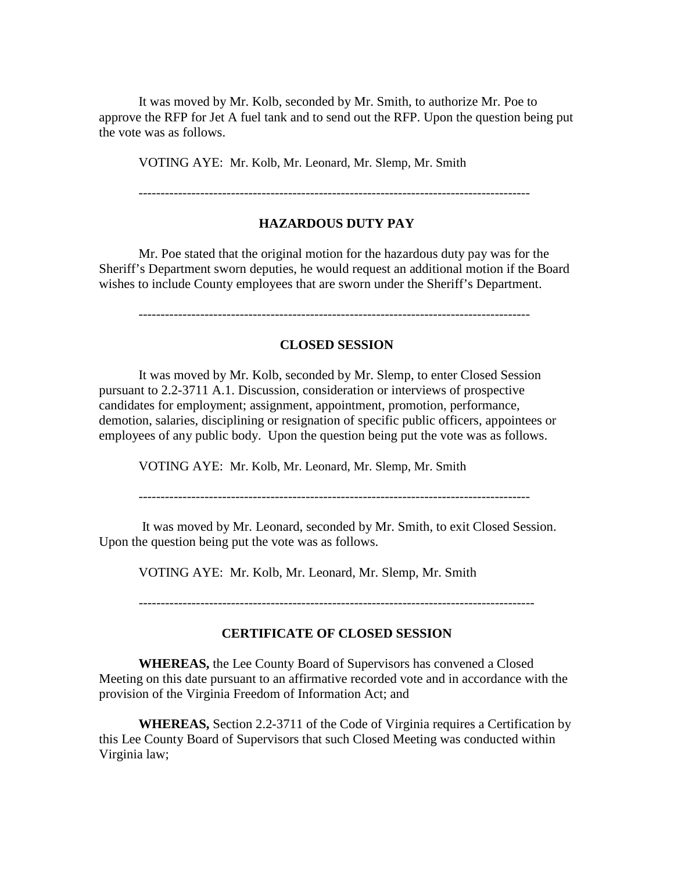It was moved by Mr. Kolb, seconded by Mr. Smith, to authorize Mr. Poe to approve the RFP for Jet A fuel tank and to send out the RFP. Upon the question being put the vote was as follows.

VOTING AYE: Mr. Kolb, Mr. Leonard, Mr. Slemp, Mr. Smith

#### **HAZARDOUS DUTY PAY**

Mr. Poe stated that the original motion for the hazardous duty pay was for the Sheriff's Department sworn deputies, he would request an additional motion if the Board wishes to include County employees that are sworn under the Sheriff's Department.

-----------------------------------------------------------------------------------------

#### **CLOSED SESSION**

It was moved by Mr. Kolb, seconded by Mr. Slemp, to enter Closed Session pursuant to 2.2-3711 A.1. Discussion, consideration or interviews of prospective candidates for employment; assignment, appointment, promotion, performance, demotion, salaries, disciplining or resignation of specific public officers, appointees or employees of any public body. Upon the question being put the vote was as follows.

VOTING AYE: Mr. Kolb, Mr. Leonard, Mr. Slemp, Mr. Smith

-----------------------------------------------------------------------------------------

It was moved by Mr. Leonard, seconded by Mr. Smith, to exit Closed Session. Upon the question being put the vote was as follows.

VOTING AYE: Mr. Kolb, Mr. Leonard, Mr. Slemp, Mr. Smith

#### **CERTIFICATE OF CLOSED SESSION**

**WHEREAS,** the Lee County Board of Supervisors has convened a Closed Meeting on this date pursuant to an affirmative recorded vote and in accordance with the provision of the Virginia Freedom of Information Act; and

**WHEREAS,** Section 2.2-3711 of the Code of Virginia requires a Certification by this Lee County Board of Supervisors that such Closed Meeting was conducted within Virginia law;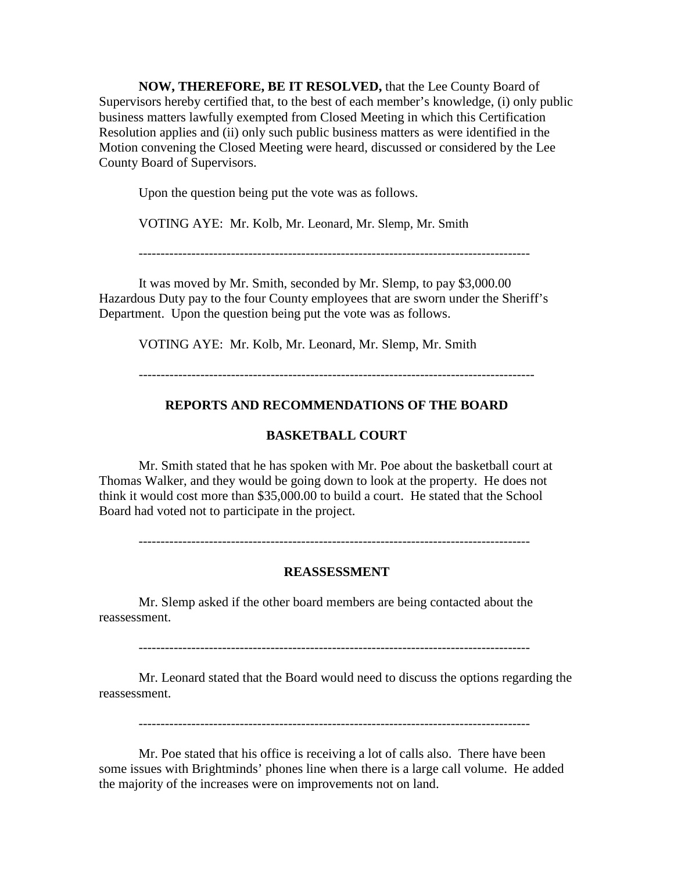**NOW, THEREFORE, BE IT RESOLVED,** that the Lee County Board of Supervisors hereby certified that, to the best of each member's knowledge, (i) only public business matters lawfully exempted from Closed Meeting in which this Certification Resolution applies and (ii) only such public business matters as were identified in the Motion convening the Closed Meeting were heard, discussed or considered by the Lee County Board of Supervisors.

Upon the question being put the vote was as follows.

VOTING AYE: Mr. Kolb, Mr. Leonard, Mr. Slemp, Mr. Smith

-----------------------------------------------------------------------------------------

It was moved by Mr. Smith, seconded by Mr. Slemp, to pay \$3,000.00 Hazardous Duty pay to the four County employees that are sworn under the Sheriff's Department. Upon the question being put the vote was as follows.

VOTING AYE: Mr. Kolb, Mr. Leonard, Mr. Slemp, Mr. Smith

------------------------------------------------------------------------------------------

# **REPORTS AND RECOMMENDATIONS OF THE BOARD**

#### **BASKETBALL COURT**

Mr. Smith stated that he has spoken with Mr. Poe about the basketball court at Thomas Walker, and they would be going down to look at the property. He does not think it would cost more than \$35,000.00 to build a court. He stated that the School Board had voted not to participate in the project.

-----------------------------------------------------------------------------------------

#### **REASSESSMENT**

Mr. Slemp asked if the other board members are being contacted about the reassessment.

-----------------------------------------------------------------------------------------

Mr. Leonard stated that the Board would need to discuss the options regarding the reassessment.

-----------------------------------------------------------------------------------------

Mr. Poe stated that his office is receiving a lot of calls also. There have been some issues with Brightminds' phones line when there is a large call volume. He added the majority of the increases were on improvements not on land.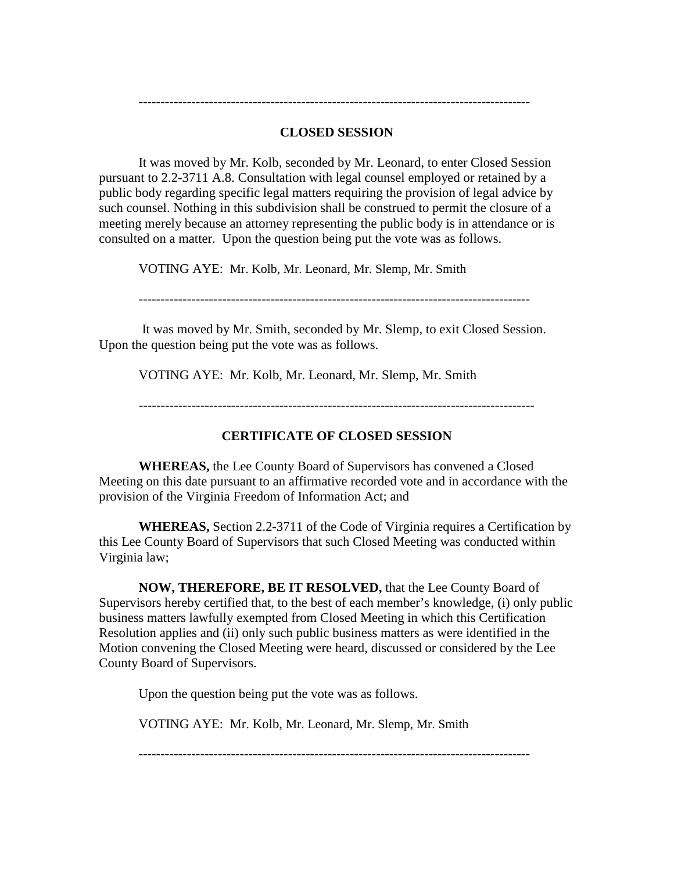# **CLOSED SESSION**

-----------------------------------------------------------------------------------------

It was moved by Mr. Kolb, seconded by Mr. Leonard, to enter Closed Session pursuant to 2.2-3711 A.8. Consultation with legal counsel employed or retained by a public body regarding specific legal matters requiring the provision of legal advice by such counsel. Nothing in this subdivision shall be construed to permit the closure of a meeting merely because an attorney representing the public body is in attendance or is consulted on a matter. Upon the question being put the vote was as follows.

VOTING AYE: Mr. Kolb, Mr. Leonard, Mr. Slemp, Mr. Smith

-----------------------------------------------------------------------------------------

It was moved by Mr. Smith, seconded by Mr. Slemp, to exit Closed Session. Upon the question being put the vote was as follows.

VOTING AYE: Mr. Kolb, Mr. Leonard, Mr. Slemp, Mr. Smith

------------------------------------------------------------------------------------------

## **CERTIFICATE OF CLOSED SESSION**

**WHEREAS,** the Lee County Board of Supervisors has convened a Closed Meeting on this date pursuant to an affirmative recorded vote and in accordance with the provision of the Virginia Freedom of Information Act; and

**WHEREAS,** Section 2.2-3711 of the Code of Virginia requires a Certification by this Lee County Board of Supervisors that such Closed Meeting was conducted within Virginia law;

**NOW, THEREFORE, BE IT RESOLVED,** that the Lee County Board of Supervisors hereby certified that, to the best of each member's knowledge, (i) only public business matters lawfully exempted from Closed Meeting in which this Certification Resolution applies and (ii) only such public business matters as were identified in the Motion convening the Closed Meeting were heard, discussed or considered by the Lee County Board of Supervisors.

Upon the question being put the vote was as follows.

VOTING AYE: Mr. Kolb, Mr. Leonard, Mr. Slemp, Mr. Smith

-----------------------------------------------------------------------------------------